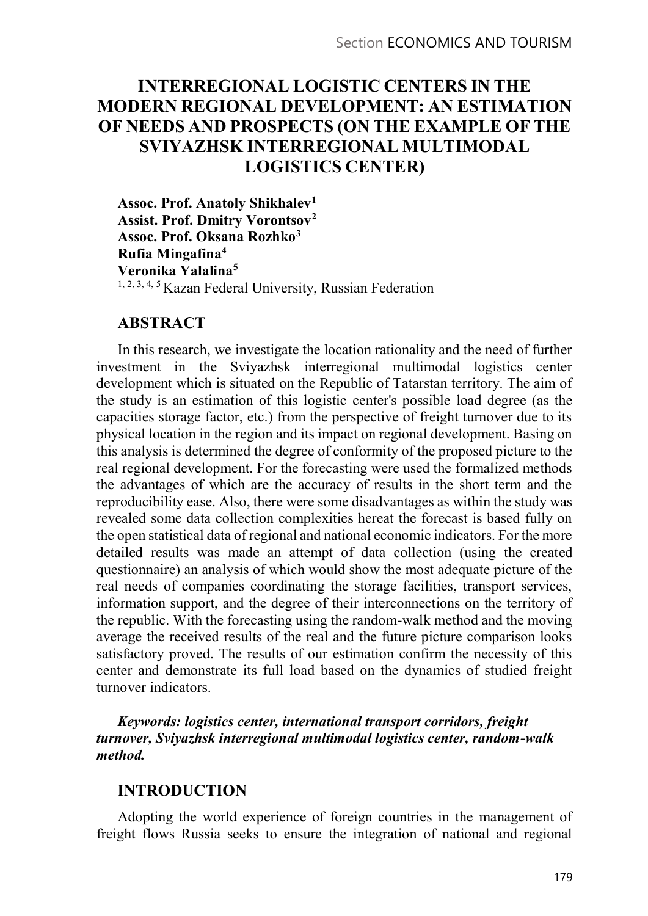# INTERREGIONAL LOGISTIC CENTERS IN THE MODERN REGIONAL DEVELOPMENT: AN ESTIMATION OF NEEDS AND PROSPECTS (ON THE EXAMPLE OF THE SVIYAZHSK INTERREGIONAL MULTIMODAL LOGISTICS CENTER)

Assoc. Prof. Anatoly Shikhalev<sup>1</sup> Assist. Prof. Dmitry Vorontsov2 Assoc. Prof. Oksana Rozhko<sup>3</sup> Rufia Mingafina4 Veronika Yalalina5 1, 2, 3, 4, 5 Kazan Federal University, Russian Federation

## ABSTRACT

In this research, we investigate the location rationality and the need of further investment in the Sviyazhsk interregional multimodal logistics center development which is situated on the Republic of Tatarstan territory. The aim of the study is an estimation of this logistic center's possible load degree (as the capacities storage factor, etc.) from the perspective of freight turnover due to its physical location in the region and its impact on regional development. Basing on this analysis is determined the degree of conformity of the proposed picture to the real regional development. For the forecasting were used the formalized methods the advantages of which are the accuracy of results in the short term and the reproducibility ease. Also, there were some disadvantages as within the study was revealed some data collection complexities hereat the forecast is based fully on the open statistical data of regional and national economic indicators. For the more detailed results was made an attempt of data collection (using the created questionnaire) an analysis of which would show the most adequate picture of the real needs of companies coordinating the storage facilities, transport services, information support, and the degree of their interconnections on the territory of the republic. With the forecasting using the random-walk method and the moving average the received results of the real and the future picture comparison looks satisfactory proved. The results of our estimation confirm the necessity of this center and demonstrate its full load based on the dynamics of studied freight turnover indicators.

Keywords: logistics center, international transport corridors, freight turnover, Sviyazhsk interregional multimodal logistics center, random-walk method.

## INTRODUCTION

Adopting the world experience of foreign countries in the management of freight flows Russia seeks to ensure the integration of national and regional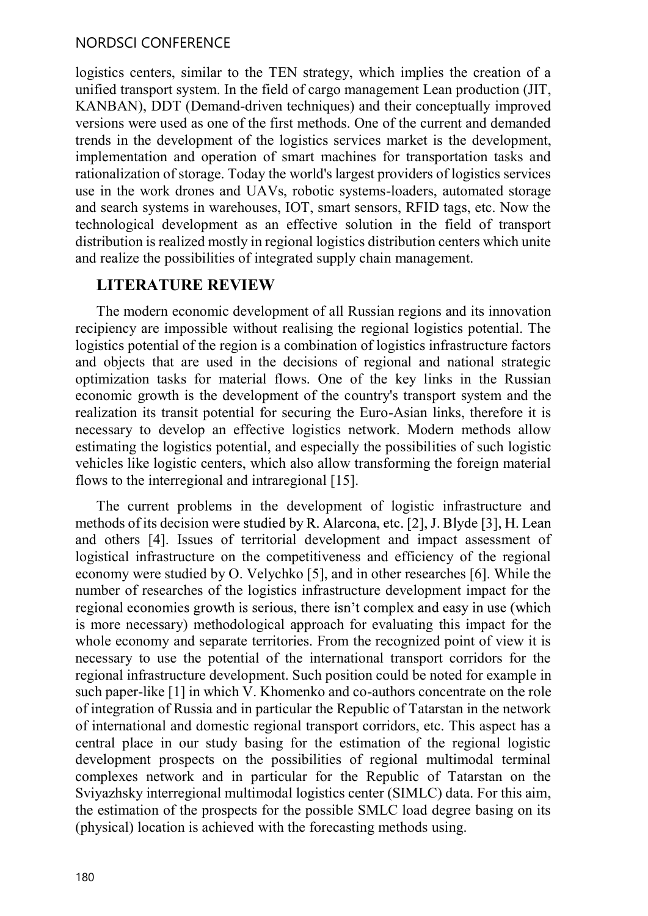#### NORDSCI CONFERENCE

logistics centers, similar to the TEN strategy, which implies the creation of a unified transport system. In the field of cargo management Lean production (JIT, KANBAN), DDT (Demand-driven techniques) and their conceptually improved versions were used as one of the first methods. One of the current and demanded trends in the development of the logistics services market is the development, implementation and operation of smart machines for transportation tasks and rationalization of storage. Today the world's largest providers of logistics services use in the work drones and UAVs, robotic systems-loaders, automated storage and search systems in warehouses, IOT, smart sensors, RFID tags, etc. Now the technological development as an effective solution in the field of transport distribution is realized mostly in regional logistics distribution centers which unite and realize the possibilities of integrated supply chain management.

## LITERATURE REVIEW

The modern economic development of all Russian regions and its innovation recipiency are impossible without realising the regional logistics potential. The logistics potential of the region is a combination of logistics infrastructure factors and objects that are used in the decisions of regional and national strategic optimization tasks for material flows. One of the key links in the Russian economic growth is the development of the country's transport system and the realization its transit potential for securing the Euro-Asian links, therefore it is necessary to develop an effective logistics network. Modern methods allow estimating the logistics potential, and especially the possibilities of such logistic vehicles like logistic centers, which also allow transforming the foreign material flows to the interregional and intraregional [15].

The current problems in the development of logistic infrastructure and methods of its decision were studied by R. Alarcona, etc. [2], J. Blyde [3], H. Lean and others [4]. Issues of territorial development and impact assessment of logistical infrastructure on the competitiveness and efficiency of the regional economy were studied by O. Velychko [5], and in other researches [6]. While the number of researches of the logistics infrastructure development impact for the regional economies growth is serious, there isn't complex and easy in use (which is more necessary) methodological approach for evaluating this impact for the whole economy and separate territories. From the recognized point of view it is necessary to use the potential of the international transport corridors for the regional infrastructure development. Such position could be noted for example in such paper-like [1] in which V. Khomenko and co-authors concentrate on the role of integration of Russia and in particular the Republic of Tatarstan in the network of international and domestic regional transport corridors, etc. This aspect has a central place in our study basing for the estimation of the regional logistic development prospects on the possibilities of regional multimodal terminal complexes network and in particular for the Republic of Tatarstan on the Sviyazhsky interregional multimodal logistics center (SIMLC) data. For this aim, the estimation of the prospects for the possible SMLC load degree basing on its (physical) location is achieved with the forecasting methods using.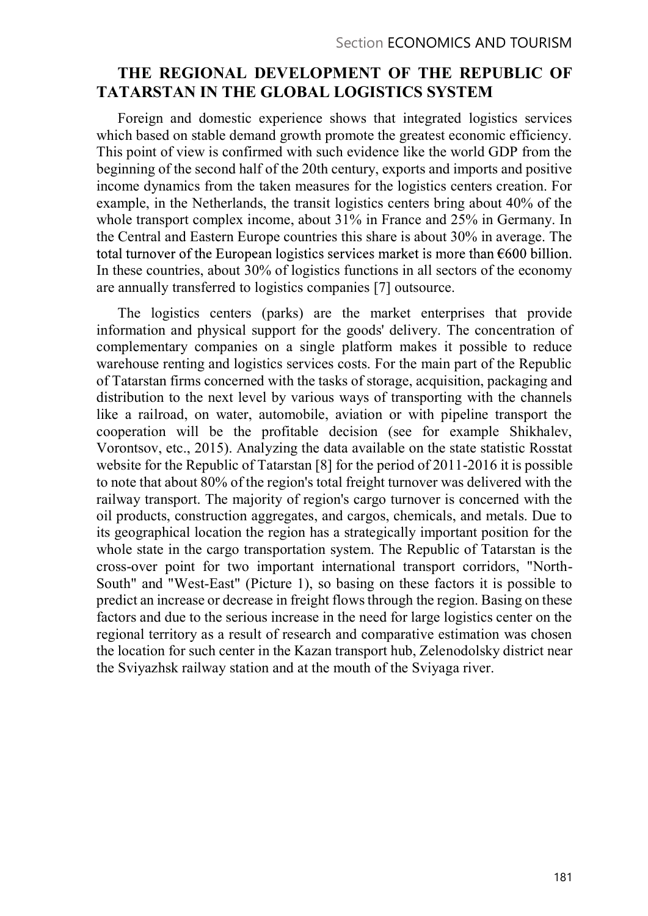## THE REGIONAL DEVELOPMENT OF THE REPUBLIC OF TATARSTAN IN THE GLOBAL LOGISTICS SYSTEM

Foreign and domestic experience shows that integrated logistics services which based on stable demand growth promote the greatest economic efficiency. This point of view is confirmed with such evidence like the world GDP from the beginning of the second half of the 20th century, exports and imports and positive income dynamics from the taken measures for the logistics centers creation. For example, in the Netherlands, the transit logistics centers bring about 40% of the whole transport complex income, about 31% in France and 25% in Germany. In the Central and Eastern Europe countries this share is about 30% in average. The total turnover of the European logistics services market is more than  $\epsilon$ 600 billion. In these countries, about 30% of logistics functions in all sectors of the economy are annually transferred to logistics companies [7] outsource.

The logistics centers (parks) are the market enterprises that provide information and physical support for the goods' delivery. The concentration of complementary companies on a single platform makes it possible to reduce warehouse renting and logistics services costs. For the main part of the Republic of Tatarstan firms concerned with the tasks of storage, acquisition, packaging and distribution to the next level by various ways of transporting with the channels like a railroad, on water, automobile, aviation or with pipeline transport the cooperation will be the profitable decision (see for example Shikhalev, Vorontsov, etc., 2015). Analyzing the data available on the state statistic Rosstat website for the Republic of Tatarstan [8] for the period of 2011-2016 it is possible to note that about 80% of the region's total freight turnover was delivered with the railway transport. The majority of region's cargo turnover is concerned with the oil products, construction aggregates, and cargos, chemicals, and metals. Due to its geographical location the region has a strategically important position for the whole state in the cargo transportation system. The Republic of Tatarstan is the cross-over point for two important international transport corridors, "North-South" and "West-East" (Picture 1), so basing on these factors it is possible to predict an increase or decrease in freight flows through the region. Basing on these factors and due to the serious increase in the need for large logistics center on the regional territory as a result of research and comparative estimation was chosen the location for such center in the Kazan transport hub, Zelenodolsky district near the Sviyazhsk railway station and at the mouth of the Sviyaga river.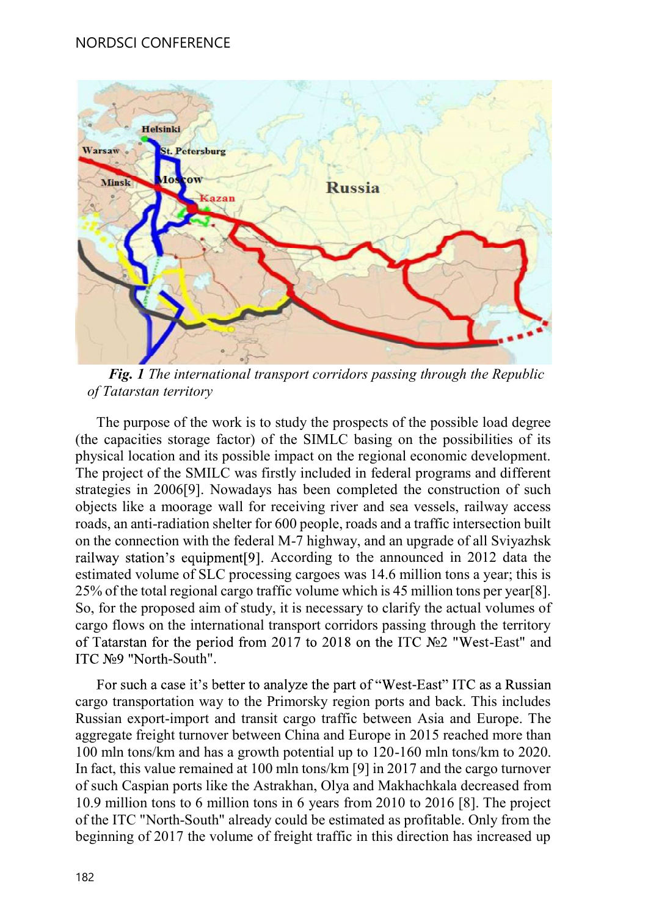

of Tatarstan territory

The purpose of the work is to study the prospects of the possible load degree (the capacities storage factor) of the SIMLC basing on the possibilities of its physical location and its possible impact on the regional economic development. The project of the SMILC was firstly included in federal programs and different strategies in 2006[9]. Nowadays has been completed the construction of such objects like a moorage wall for receiving river and sea vessels, railway access roads, an anti-radiation shelter for 600 people, roads and a traffic intersection built on the connection with the federal M-7 highway, and an upgrade of all Sviyazhsk railway station's equipment[9]. According to the announced in 2012 data the estimated volume of SLC processing cargoes was 14.6 million tons a year; this is 25% of the total regional cargo traffic volume which is 45 million tons per year[8]. So, for the proposed aim of study, it is necessary to clarify the actual volumes of cargo flows on the international transport corridors passing through the territory of Tatarstan for the period from 2017 to 2018 on the ITC  $N<sub>2</sub>$  "West-East" and ITC Nº9 "North-South".<br>For such a case it's better to analyze the part of "West-East" ITC as a Russian physical location and its possible impact on the regional economic development.<br>The project of the SMILC was firstly included in federal programs and different strategies in 2006[9]. Nowadays has been completed the constr

cargo transportation way to the Primorsky region ports and back. This includes Russian export-import and transit cargo traffic between Asia and Europe. The 100 mln tons/km and has a growth potential up to 120-160 mln tons/km to 2020. In fact, this value remained at 100 mln tons/km [9] in 2017 and the cargo turnover of such Caspian ports like the Astrakhan, Olya and Makhachkala decreased from 10.9 million tons to 6 million tons in 6 years from 2010 to 2016 [8]. The project of the ITC "North-South" already could be estimated as profitable. Only from the beginning of 2017 the volume of freight traffic in this direction has increased up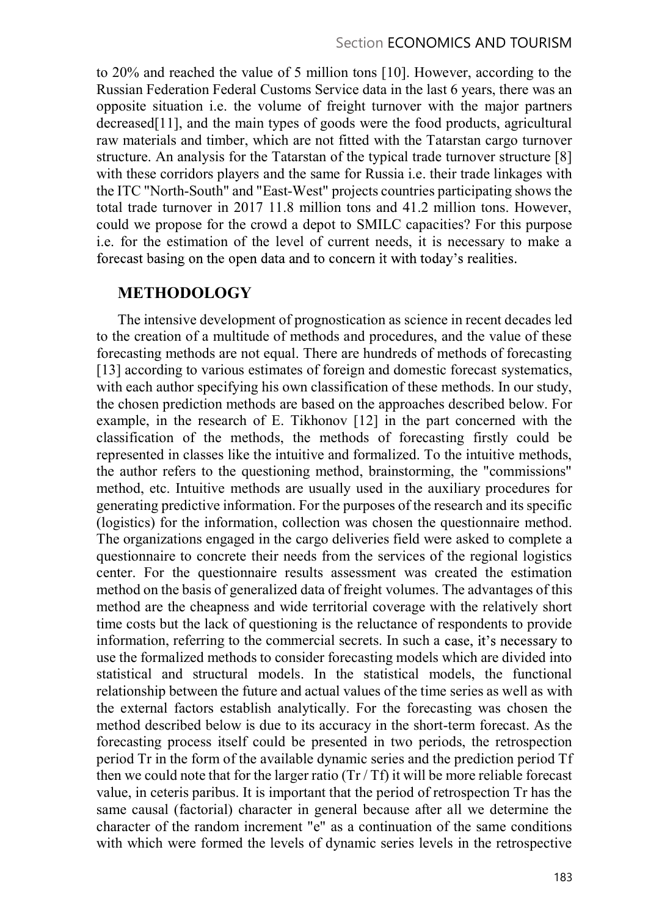to 20% and reached the value of 5 million tons [10]. However, according to the Russian Federation Federal Customs Service data in the last 6 years, there was an opposite situation i.e. the volume of freight turnover with the major partners decreased[11], and the main types of goods were the food products, agricultural raw materials and timber, which are not fitted with the Tatarstan cargo turnover structure. An analysis for the Tatarstan of the typical trade turnover structure [8] with these corridors players and the same for Russia i.e. their trade linkages with the ITC "North-South" and "East-West" projects countries participating shows the total trade turnover in 2017 11.8 million tons and 41.2 million tons. However, could we propose for the crowd a depot to SMILC capacities? For this purpose i.e. for the estimation of the level of current needs, it is necessary to make a forecast basing on the open data and to concern it with today's realities.

## METHODOLOGY

The intensive development of prognostication as science in recent decades led to the creation of a multitude of methods and procedures, and the value of these forecasting methods are not equal. There are hundreds of methods of forecasting [13] according to various estimates of foreign and domestic forecast systematics, with each author specifying his own classification of these methods. In our study, the chosen prediction methods are based on the approaches described below. For example, in the research of E. Tikhonov [12] in the part concerned with the classification of the methods, the methods of forecasting firstly could be represented in classes like the intuitive and formalized. To the intuitive methods, the author refers to the questioning method, brainstorming, the "commissions" method, etc. Intuitive methods are usually used in the auxiliary procedures for generating predictive information. For the purposes of the research and its specific (logistics) for the information, collection was chosen the questionnaire method. The organizations engaged in the cargo deliveries field were asked to complete a questionnaire to concrete their needs from the services of the regional logistics center. For the questionnaire results assessment was created the estimation method on the basis of generalized data of freight volumes. The advantages of this method are the cheapness and wide territorial coverage with the relatively short time costs but the lack of questioning is the reluctance of respondents to provide information, referring to the commercial secrets. In such a case, it's necessary to use the formalized methods to consider forecasting models which are divided into statistical and structural models. In the statistical models, the functional relationship between the future and actual values of the time series as well as with the external factors establish analytically. For the forecasting was chosen the method described below is due to its accuracy in the short-term forecast. As the forecasting process itself could be presented in two periods, the retrospection period Tr in the form of the available dynamic series and the prediction period Tf then we could note that for the larger ratio  $(Tr/Tf)$  it will be more reliable forecast value, in ceteris paribus. It is important that the period of retrospection Tr has the same causal (factorial) character in general because after all we determine the character of the random increment "e" as a continuation of the same conditions with which were formed the levels of dynamic series levels in the retrospective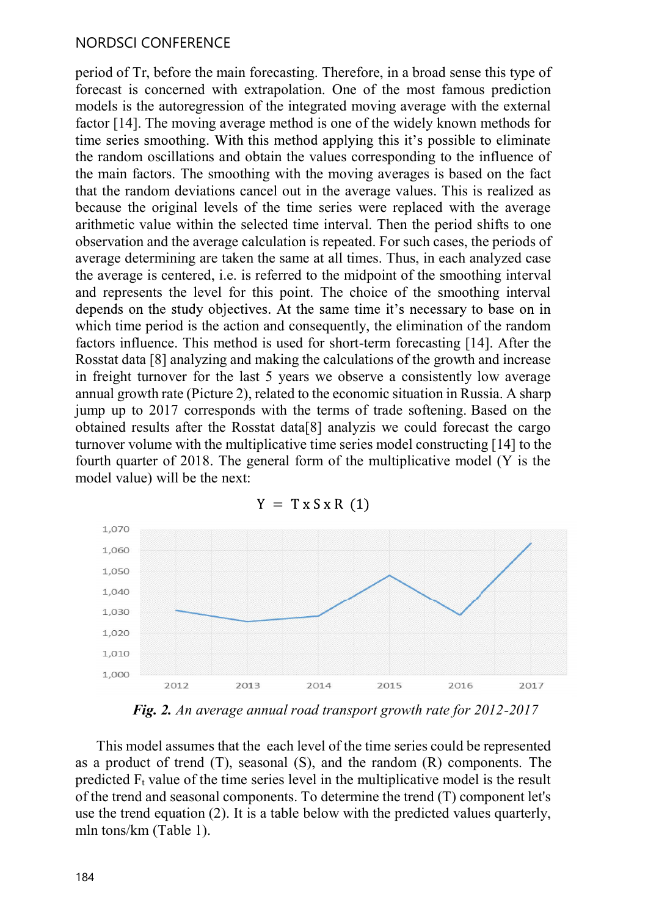#### NORDSCI CONFERENCE

period of Tr, before the main forecasting. Therefore, in a broad sense this type of forecast is concerned with extrapolation. One of the most famous prediction models is the autoregression of the integrated moving average with the external factor [14]. The moving average method is one of the widely known methods for the random oscillations and obtain the values corresponding to the influence of the main factors. The smoothing with the moving averages is based on the fact that the random deviations cancel out in the average values. This is realized as because the original levels of the time series were replaced with the average arithmetic value within the selected time interval. Then the period shifts to one observation and the average calculation is repeated. For such cases, the periods of average determining are taken the same at all times. Thus, in each analyzed case the average is centered, i.e. is referred to the midpoint of the smoothing interval and represents the level for this point. The choice of the smoothing interval which time period is the action and consequently, the elimination of the random factors influence. This method is used for short-term forecasting [14]. After the Rosstat data [8] analyzing and making the calculations of the growth and increase in freight turnover for the last 5 years we observe a consistently low average annual growth rate (Picture 2), related to the economic situation in Russia. A sharp time series smoothing. With this method applying this it's possible to eliminate the random oscillations and obtain the values corresponding to the influence of the main factors. The smoothing with the moving averages is b obtained results after the Rosstat data[8] analyzis we could forecast the cargo turnover volume with the multiplicative time series model constructing [14] to the fourth quarter of 2018. The general form of the multiplicative model (Y is the model value) will be the next:



This model assumes that the each level of the time series could be represented predicted  $F_t$  value of the time series level in the multiplicative model is the result of the trend and seasonal components. To determine the trend (T) component let's mln tons/km (Table 1).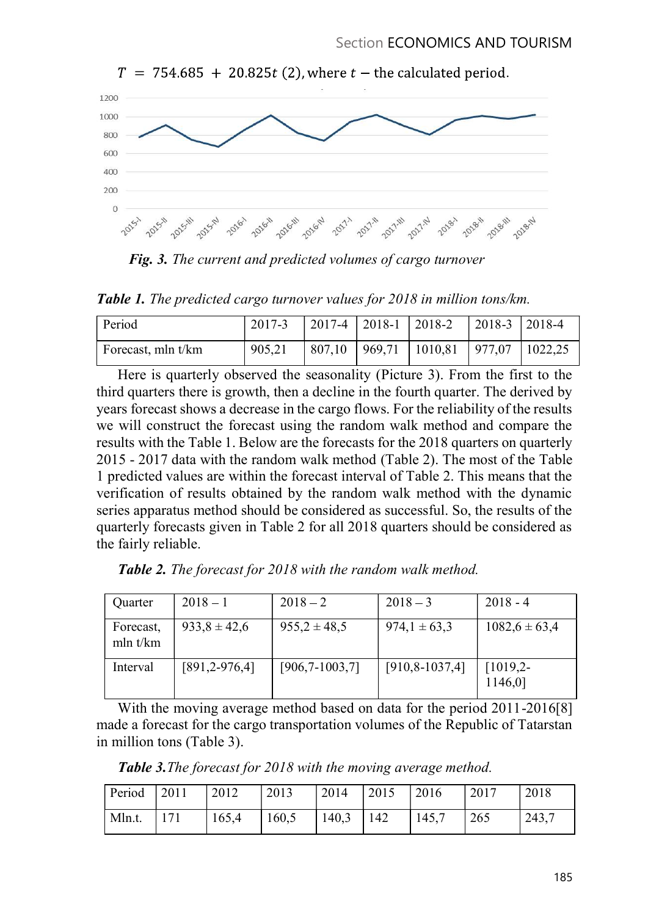

.

Table 1. The predicted cargo turnover values for 2018 in million tons/km.

| Period             | 2017-3 |  | $\vert$ 2017-4 $\vert$ 2018-1 $\vert$ 2018-2 $\vert$ 2018-3 $\vert$ 2018-4 |  |
|--------------------|--------|--|----------------------------------------------------------------------------|--|
| Forecast, mln t/km | 905,21 |  | 807,10   969,71   1010,81   977,07   1022,25                               |  |

third quarters there is growth, then a decline in the fourth quarter. The derived by son<br>  $\frac{40}{3}$ <br>  $\frac{40}{3}$ <br>  $\frac{40}{3}$ <br>  $\frac{40}{3}$ <br>  $\frac{40}{3}$ <br>  $\frac{40}{3}$ <br>  $\frac{40}{3}$ <br>  $\frac{40}{3}$ <br>  $\frac{40}{3}$ <br>  $\frac{40}{3}$ <br>  $\frac{40}{3}$ <br>  $\frac{40}{3}$ <br>
Fig. 3. The current and predicted volumes of cargo turnover<br>
Table 1. Th we will construct the forecast using the random walk method and compare the results with the Table 1. Below are the forecasts for the 2018 quarters on quarterly 2016 - 2017 data with the consist increases in the consistent of Table 2). The most of the results of the random walk method (Table 2). There is quarterly observed the seasonality (Picture 3). From the first to the Table 1 predicted values are within the forecast interval of Table 2. This means that the verification of results obtained by the random walk method with the dynamic series apparatus method should be considered as successful. So, the results of the quarterly forecasts given in Table 2 for all 2018 quarters should be considered as the fairly reliable. From 19017-3 2017-4 2018-1 2018-2 2018-3 2018-4<br>
Froccast, mln t/km<br>
2017-4 2017-4 2018-1 2018-2 2018-3 2018-4<br>
Here is quarterly observed the seasonality (Picture 3). From the first to the<br>
duaterts: there is growth, the EVALUAL 1905.21 807,10 969,71 1010,81 977,07 1022,25<br>
arterly observed the seasonality (Picture 3). From the first to the<br>
here is growth, then a decline in the fourth quarter. The derived by<br>
shows a decrease in the argo rd quarters there is growth, then a decline in the fourth quarter. The derived by<br>
six forecast shows a decrease in the cargo flows. For the reliability of the results<br>
will construct the forecast using the random walk me

Table 2. The forecast for 2018 with the random walk method.

| <b>Table 2.</b> The forecast for 2018 with the random walk method.<br>$2018 - 1$<br>$2018 - 2$<br>$2018 - 4$<br>$2018 - 3$<br>Quarter                                                                                                                               |
|---------------------------------------------------------------------------------------------------------------------------------------------------------------------------------------------------------------------------------------------------------------------|
|                                                                                                                                                                                                                                                                     |
|                                                                                                                                                                                                                                                                     |
| $933,8 \pm 42,6$<br>$955,2 \pm 48,5$<br>$974,1 \pm 63,3$<br>$1082,6 \pm 63,4$<br>Forecast,<br>mln t/km                                                                                                                                                              |
| $[906, 7 - 1003, 7]$<br>$[910, 8-1037, 4]$<br>$[1019,2-$<br>Interval<br>$[891, 2-976, 4]$<br>1146,0]                                                                                                                                                                |
| With the moving average method based on data for the period 2011-2016[8]<br>nade a forecast for the cargo transportation volumes of the Republic of Tatarstan<br>n million tons (Table 3).<br><b>Table 3.</b> The forecast for 2018 with the moving average method. |
| Period<br>2011<br>2012<br>2014<br>2017<br>2018<br>2013<br>2015<br>2016                                                                                                                                                                                              |
| 171<br>140,3<br>Mln.t.<br>165,4<br>160,5<br>142<br>145,7<br>265<br>243,7                                                                                                                                                                                            |

Table 3. The forecast for 2018 with the moving average method.

| Period 2011 |     | $\vert$ 2012 | $\vert$ 2013 | '2014         | $\vert$ 2015 | $\frac{12016}{ }$ | $\frac{12017}{2017}$ | 2018  |
|-------------|-----|--------------|--------------|---------------|--------------|-------------------|----------------------|-------|
| Mln.t.      | 171 | 165,4        | 160,5        | $140,3$   142 |              | 145,7             | 265                  | 243,7 |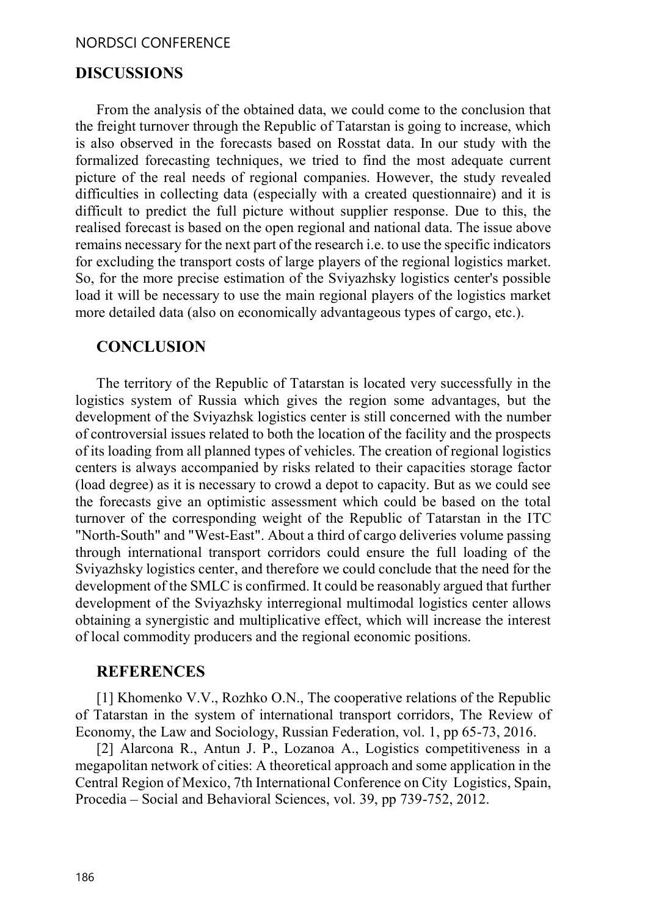#### NORDSCI CONFERENCE

## DISCUSSIONS

From the analysis of the obtained data, we could come to the conclusion that the freight turnover through the Republic of Tatarstan is going to increase, which is also observed in the forecasts based on Rosstat data. In our study with the formalized forecasting techniques, we tried to find the most adequate current picture of the real needs of regional companies. However, the study revealed difficulties in collecting data (especially with a created questionnaire) and it is difficult to predict the full picture without supplier response. Due to this, the realised forecast is based on the open regional and national data. The issue above remains necessary for the next part of the research i.e. to use the specific indicators for excluding the transport costs of large players of the regional logistics market. So, for the more precise estimation of the Sviyazhsky logistics center's possible load it will be necessary to use the main regional players of the logistics market more detailed data (also on economically advantageous types of cargo, etc.).

#### **CONCLUSION**

The territory of the Republic of Tatarstan is located very successfully in the logistics system of Russia which gives the region some advantages, but the development of the Sviyazhsk logistics center is still concerned with the number of controversial issues related to both the location of the facility and the prospects of its loading from all planned types of vehicles. The creation of regional logistics centers is always accompanied by risks related to their capacities storage factor (load degree) as it is necessary to crowd a depot to capacity. But as we could see the forecasts give an optimistic assessment which could be based on the total turnover of the corresponding weight of the Republic of Tatarstan in the ITC "North-South" and "West-East". About a third of cargo deliveries volume passing through international transport corridors could ensure the full loading of the Sviyazhsky logistics center, and therefore we could conclude that the need for the development of the SMLC is confirmed. It could be reasonably argued that further development of the Sviyazhsky interregional multimodal logistics center allows obtaining a synergistic and multiplicative effect, which will increase the interest of local commodity producers and the regional economic positions.

#### REFERENCES

[1] Khomenko V.V., Rozhko O.N., The cooperative relations of the Republic of Tatarstan in the system of international transport corridors, The Review of Economy, the Law and Sociology, Russian Federation, vol. 1, pp 65-73, 2016.

[2] Alarcona R., Antun J. P., Lozanoa A., Logistics competitiveness in a megapolitan network of cities: A theoretical approach and some application in the Central Region of Mexico, 7th International Conference on City Logistics, Spain, Procedia – Social and Behavioral Sciences, vol. 39, pp 739-752, 2012.